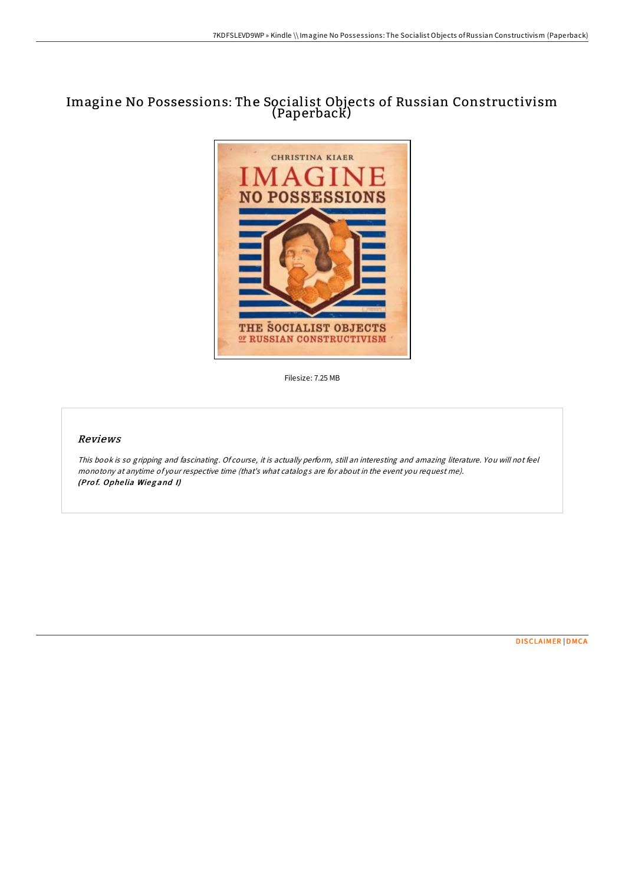# Imagine No Possessions: The Socialist Objects of Russian Constructivism (Paperback)



Filesize: 7.25 MB

## Reviews

This book is so gripping and fascinating. Of course, it is actually perform, still an interesting and amazing literature. You will not feel monotony at anytime of your respective time (that's what catalogs are for about in the event you request me). (Prof. Ophelia Wiegand I)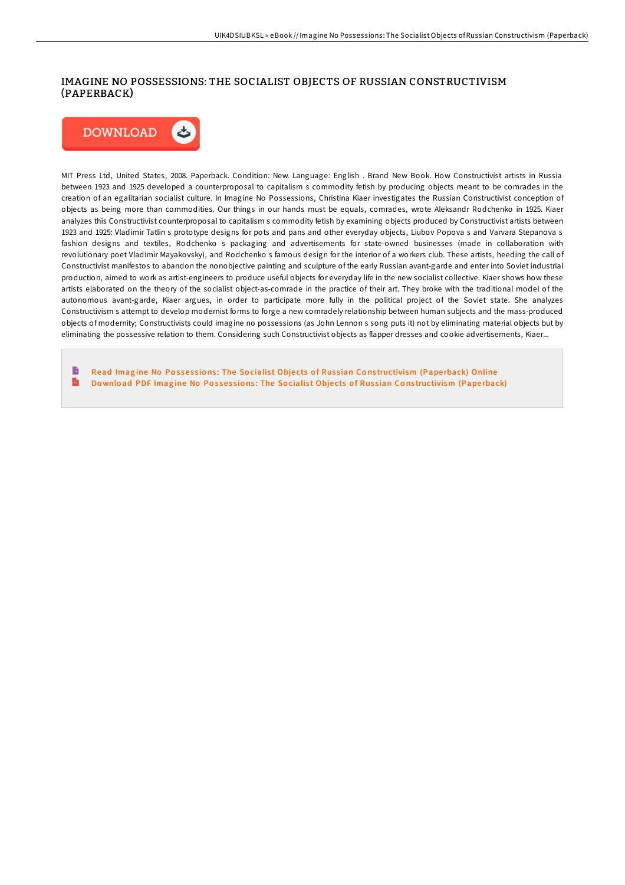## IMAGINE NO POSSESSIONS: THE SOCIALIST OBJECTS OF RUSSIAN CONSTRUCTIVISM (PAPERBACK)



MIT Press Ltd, United States, 2008. Paperback. Condition: New. Language: English . Brand New Book. How Constructivist artists in Russia between 1923 and 1925 developed a counterproposal to capitalism s commodity fetish by producing objects meant to be comrades in the creation of an egalitarian socialist culture. In Imagine No Possessions, Christina Kiaer investigates the Russian Constructivist conception of objects as being more than commodities. Our things in our hands must be equals, comrades, wrote Aleksandr Rodchenko in 1925. Kiaer analyzes this Constructivist counterproposal to capitalism s commodity fetish by examining objects produced by Constructivist artists between 1923 and 1925: Vladimir Tatlin s prototype designs for pots and pans and other everyday objects, Liubov Popova s and Varvara Stepanova s fashion designs and textiles, Rodchenko s packaging and advertisements for state-owned businesses (made in collaboration with revolutionary poet Vladimir Mayakovsky), and Rodchenko s famous design for the interior of a workers club. These artists, heeding the call of Constructivist manifestos to abandon the nonobjective painting and sculpture of the early Russian avant-garde and enter into Soviet industrial production, aimed to work as artist-engineers to produce useful objects for everyday life in the new socialist collective. Kiaer shows how these artists elaborated on the theory of the socialist object-as-comrade in the practice of their art. They broke with the traditional model of the autonomous avant-garde, Kiaer argues, in order to participate more fully in the political project of the Soviet state. She analyzes Constructivism s attempt to develop modernist forms to forge a new comradely relationship between human subjects and the mass-produced objects of modernity; Constructivists could imagine no possessions (as John Lennon s song puts it) not by eliminating material objects but by eliminating the possessive relation to them. Considering such Constructivist objects as flapper dresses and cookie advertisements, Kiaer...

Read Imagine No Possessions: The Socialist Objects of Russian Cons[tructivism](http://almighty24.tech/imagine-no-possessions-the-socialist-objects-of-.html) (Paperback) Online  $\frac{1}{10}$ Download PDF Imagine No Possessions: The Socialist Objects of Russian Cons[tructivism](http://almighty24.tech/imagine-no-possessions-the-socialist-objects-of-.html) (Paperback)